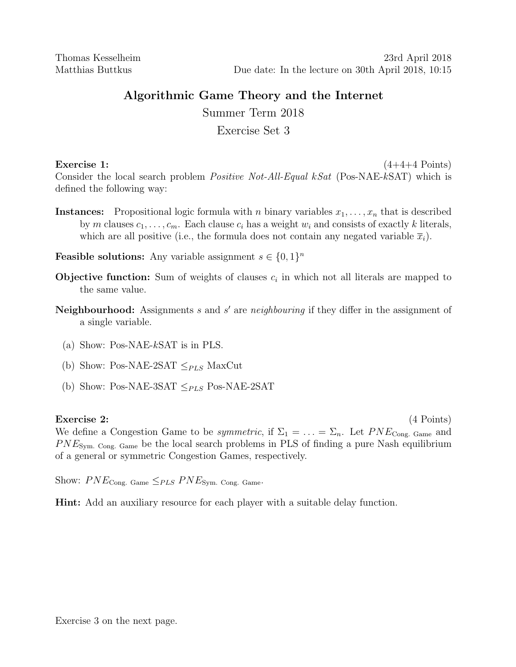## Algorithmic Game Theory and the Internet

Summer Term 2018

## Exercise Set 3

Exercise 1:  $(4+4+4$  Points) Consider the local search problem *Positive Not-All-Equal kSat* (Pos-NAE-kSAT) which is defined the following way:

**Instances:** Propositional logic formula with n binary variables  $x_1, \ldots, x_n$  that is described by m clauses  $c_1, \ldots, c_m$ . Each clause  $c_i$  has a weight  $w_i$  and consists of exactly k literals, which are all positive (i.e., the formula does not contain any negated variable  $\bar{x}_i$ ).

**Feasible solutions:** Any variable assignment  $s \in \{0, 1\}^n$ 

- **Objective function:** Sum of weights of clauses  $c_i$  in which not all literals are mapped to the same value.
- Neighbourhood: Assignments  $s$  and  $s'$  are neighbouring if they differ in the assignment of a single variable.
	- (a) Show: Pos-NAE-kSAT is in PLS.
	- (b) Show: Pos-NAE-2SAT  $\leq_{PLS}$  MaxCut
	- (b) Show: Pos-NAE-3SAT  $\leq_{PLS}$  Pos-NAE-2SAT

## Exercise 2: (4 Points)

We define a Congestion Game to be *symmetric*, if  $\Sigma_1 = \ldots = \Sigma_n$ . Let  $PNE_{\text{Cong. Game}}$  and  $PNE<sub>Sym. Cong. Game</sub>$  be the local search problems in PLS of finding a pure Nash equilibrium of a general or symmetric Congestion Games, respectively.

Show:  $PNE_{\text{Cong. Game}} \leq_{PLS} PNE_{\text{Sym. Cong. Game}}$ 

Hint: Add an auxiliary resource for each player with a suitable delay function.